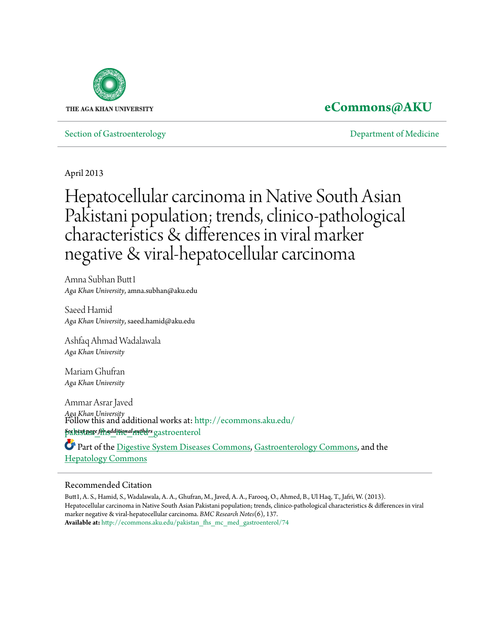

# **[eCommons@AKU](http://ecommons.aku.edu?utm_source=ecommons.aku.edu%2Fpakistan_fhs_mc_med_gastroenterol%2F74&utm_medium=PDF&utm_campaign=PDFCoverPages)**

[Section of Gastroenterology](http://ecommons.aku.edu/pakistan_fhs_mc_med_gastroenterol?utm_source=ecommons.aku.edu%2Fpakistan_fhs_mc_med_gastroenterol%2F74&utm_medium=PDF&utm_campaign=PDFCoverPages) [Department of Medicine](http://ecommons.aku.edu/pakistan_fhs_mc_med?utm_source=ecommons.aku.edu%2Fpakistan_fhs_mc_med_gastroenterol%2F74&utm_medium=PDF&utm_campaign=PDFCoverPages)

April 2013

# Hepatocellular carcinoma in Native South Asian Pakistani population; trends, clinico-pathological characteristics & differences in viral marker negative & viral-hepatocellular carcinoma

Amna Subhan Butt1 *Aga Khan University*, amna.subhan@aku.edu

Saeed Hamid *Aga Khan University*, saeed.hamid@aku.edu

Ashfaq Ahmad Wadalawala *Aga Khan University*

Mariam Ghufran *Aga Khan University*

Ammar Asrar Javed *Aga Khan University* **See kest page for additional authors** gastroenterol Follow this and additional works at: [http://ecommons.aku.edu/](http://ecommons.aku.edu/pakistan_fhs_mc_med_gastroenterol?utm_source=ecommons.aku.edu%2Fpakistan_fhs_mc_med_gastroenterol%2F74&utm_medium=PDF&utm_campaign=PDFCoverPages)

Part of the [Digestive System Diseases Commons](http://network.bepress.com/hgg/discipline/986?utm_source=ecommons.aku.edu%2Fpakistan_fhs_mc_med_gastroenterol%2F74&utm_medium=PDF&utm_campaign=PDFCoverPages), [Gastroenterology Commons,](http://network.bepress.com/hgg/discipline/687?utm_source=ecommons.aku.edu%2Fpakistan_fhs_mc_med_gastroenterol%2F74&utm_medium=PDF&utm_campaign=PDFCoverPages) and the [Hepatology Commons](http://network.bepress.com/hgg/discipline/1060?utm_source=ecommons.aku.edu%2Fpakistan_fhs_mc_med_gastroenterol%2F74&utm_medium=PDF&utm_campaign=PDFCoverPages)

# Recommended Citation

Butt1, A. S., Hamid, S., Wadalawala, A. A., Ghufran, M., Javed, A. A., Farooq, O., Ahmed, B., Ul Haq, T., Jafri, W. (2013). Hepatocellular carcinoma in Native South Asian Pakistani population; trends, clinico-pathological characteristics & differences in viral marker negative & viral-hepatocellular carcinoma. *BMC Research Notes*(6), 137. **Available at:** [http://ecommons.aku.edu/pakistan\\_fhs\\_mc\\_med\\_gastroenterol/74](http://ecommons.aku.edu/pakistan_fhs_mc_med_gastroenterol/74)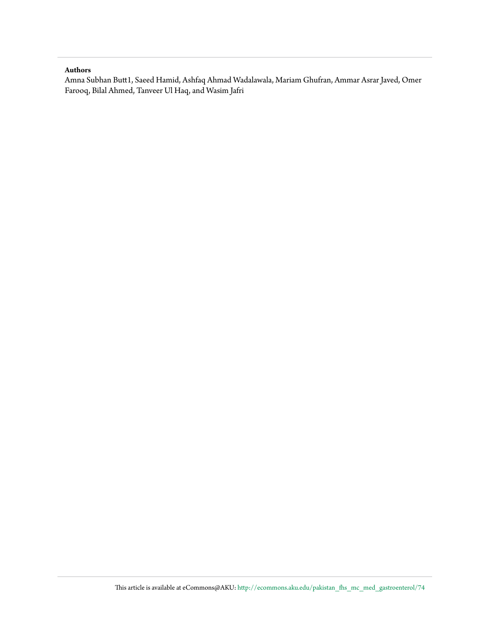## **Authors**

Amna Subhan Butt1, Saeed Hamid, Ashfaq Ahmad Wadalawala, Mariam Ghufran, Ammar Asrar Javed, Omer Farooq, Bilal Ahmed, Tanveer Ul Haq, and Wasim Jafri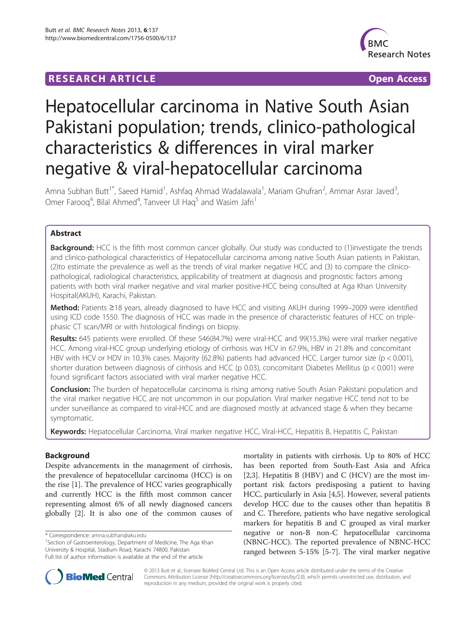# **RESEARCH ARTICLE Example 2018 12:00 Department of the CONNECTION CONNECTION CONNECTION CONNECTION**



# Hepatocellular carcinoma in Native South Asian Pakistani population; trends, clinico-pathological characteristics & differences in viral marker negative & viral-hepatocellular carcinoma

Amna Subhan Butt<sup>1\*</sup>, Saeed Hamid<sup>1</sup>, Ashfaq Ahmad Wadalawala<sup>1</sup>, Mariam Ghufran<sup>2</sup>, Ammar Asrar Javed<sup>3</sup> , Omer Farooq<sup>4</sup>, Bilal Ahmed<sup>4</sup>, Tanveer Ul Haq<sup>5</sup> and Wasim Jafri<sup>1</sup>

# Abstract

Background: HCC is the fifth most common cancer globally. Our study was conducted to (1)investigate the trends and clinico-pathological characteristics of Hepatocellular carcinoma among native South Asian patients in Pakistan, (2)to estimate the prevalence as well as the trends of viral marker negative HCC and (3) to compare the clinicopathological, radiological characteristics, applicability of treatment at diagnosis and prognostic factors among patients with both viral marker negative and viral marker positive-HCC being consulted at Aga Khan University Hospital(AKUH), Karachi, Pakistan.

Method: Patients ≥18 years, already diagnosed to have HCC and visiting AKUH during 1999–2009 were identified using ICD code 1550. The diagnosis of HCC was made in the presence of characteristic features of HCC on triplephasic CT scan/MRI or with histological findings on biopsy.

Results: 645 patients were enrolled. Of these 546(84.7%) were viral-HCC and 99(15.3%) were viral marker negative HCC. Among viral-HCC group underlying etiology of cirrhosis was HCV in 67.9%, HBV in 21.8% and concomitant HBV with HCV or HDV in 10.3% cases. Majority (62.8%) patients had advanced HCC. Larger tumor size (p < 0.001), shorter duration between diagnosis of cirrhosis and HCC (p 0.03), concomitant Diabetes Mellitus (p < 0.001) were found significant factors associated with viral marker negative HCC.

**Conclusion:** The burden of hepatocellular carcinoma is rising among native South Asian Pakistani population and the viral marker negative HCC are not uncommon in our population. Viral marker negative HCC tend not to be under surveillance as compared to viral-HCC and are diagnosed mostly at advanced stage & when they became symptomatic.

Keywords: Hepatocellular Carcinoma, Viral marker negative HCC, Viral-HCC, Hepatitis B, Hepatitis C, Pakistan

# Background

Despite advancements in the management of cirrhosis, the prevalence of hepatocellular carcinoma (HCC) is on the rise [[1\]](#page-13-0). The prevalence of HCC varies geographically and currently HCC is the fifth most common cancer representing almost 6% of all newly diagnosed cancers globally [[2\]](#page-13-0). It is also one of the common causes of

<sup>1</sup>Section of Gastroenterology, Department of Medicine, The Aga Khan University & Hospital, Stadium Road, Karachi 74800, Pakistan Full list of author information is available at the end of the article

mortality in patients with cirrhosis. Up to 80% of HCC has been reported from South-East Asia and Africa [[2,3\]](#page-13-0). Hepatitis B (HBV) and C (HCV) are the most important risk factors predisposing a patient to having HCC, particularly in Asia [[4,5\]](#page-13-0). However, several patients develop HCC due to the causes other than hepatitis B and C. Therefore, patients who have negative serological markers for hepatitis B and C grouped as viral marker negative or non-B non-C hepatocellular carcinoma (NBNC-HCC). The reported prevalence of NBNC-HCC ranged between 5-15% [[5-7](#page-13-0)]. The viral marker negative



© 2013 Butt et al.; licensee BioMed Central Ltd. This is an Open Access article distributed under the terms of the Creative Commons Attribution License [\(http://creativecommons.org/licenses/by/2.0\)](http://creativecommons.org/licenses/by/2.0), which permits unrestricted use, distribution, and reproduction in any medium, provided the original work is properly cited.

<sup>\*</sup> Correspondence: [amna.subhan@aku.edu](mailto:amna.subhan@aku.edu) <sup>1</sup>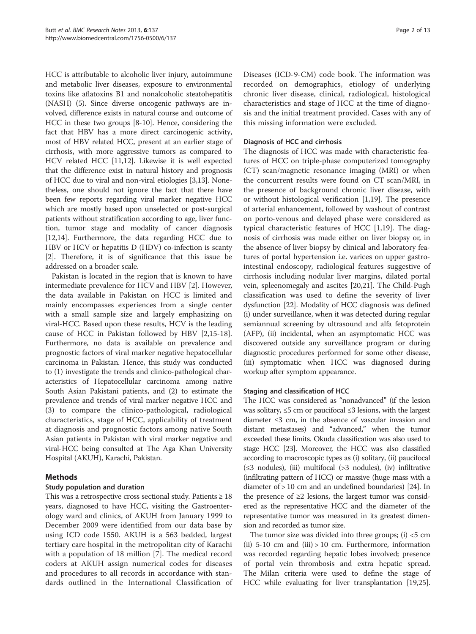HCC is attributable to alcoholic liver injury, autoimmune and metabolic liver diseases, exposure to environmental toxins like aflatoxins B1 and nonalcoholic steatohepatitis (NASH) (5). Since diverse oncogenic pathways are involved, difference exists in natural course and outcome of HCC in these two groups [[8](#page-13-0)-[10](#page-13-0)]. Hence, considering the fact that HBV has a more direct carcinogenic activity, most of HBV related HCC, present at an earlier stage of cirrhosis, with more aggressive tumors as compared to HCV related HCC [[11](#page-13-0),[12](#page-13-0)]. Likewise it is well expected that the difference exist in natural history and prognosis of HCC due to viral and non-viral etiologies [\[3](#page-13-0)[,13\]](#page-14-0). Nonetheless, one should not ignore the fact that there have been few reports regarding viral marker negative HCC which are mostly based upon unselected or post-surgical patients without stratification according to age, liver function, tumor stage and modality of cancer diagnosis [[12](#page-13-0)[,14](#page-14-0)]. Furthermore, the data regarding HCC due to HBV or HCV or hepatitis D (HDV) co-infection is scanty [[2\]](#page-13-0). Therefore, it is of significance that this issue be addressed on a broader scale.

Pakistan is located in the region that is known to have intermediate prevalence for HCV and HBV [\[2](#page-13-0)]. However, the data available in Pakistan on HCC is limited and mainly encompasses experiences from a single center with a small sample size and largely emphasizing on viral-HCC. Based upon these results, HCV is the leading cause of HCC in Pakistan followed by HBV [[2,](#page-13-0)[15-18](#page-14-0)]. Furthermore, no data is available on prevalence and prognostic factors of viral marker negative hepatocellular carcinoma in Pakistan. Hence, this study was conducted to (1) investigate the trends and clinico-pathological characteristics of Hepatocellular carcinoma among native South Asian Pakistani patients, and (2) to estimate the prevalence and trends of viral marker negative HCC and (3) to compare the clinico-pathological, radiological characteristics, stage of HCC, applicability of treatment at diagnosis and prognostic factors among native South Asian patients in Pakistan with viral marker negative and viral-HCC being consulted at The Aga Khan University Hospital (AKUH), Karachi, Pakistan.

# Methods

# Study population and duration

This was a retrospective cross sectional study. Patients  $\geq 18$ years, diagnosed to have HCC, visiting the Gastroenterology ward and clinics, of AKUH from January 1999 to December 2009 were identified from our data base by using ICD code 1550. AKUH is a 563 bedded, largest tertiary care hospital in the metropolitan city of Karachi with a population of 18 million [[7\]](#page-13-0). The medical record coders at AKUH assign numerical codes for diseases and procedures to all records in accordance with standards outlined in the International Classification of

Diseases (ICD-9-CM) code book. The information was recorded on demographics, etiology of underlying chronic liver disease, clinical, radiological, histological characteristics and stage of HCC at the time of diagnosis and the initial treatment provided. Cases with any of this missing information were excluded.

# Diagnosis of HCC and cirrhosis

The diagnosis of HCC was made with characteristic features of HCC on triple-phase computerized tomography (CT) scan/magnetic resonance imaging (MRI) or when the concurrent results were found on CT scan/MRI, in the presence of background chronic liver disease, with or without histological verification [\[1](#page-13-0)[,19](#page-14-0)]. The presence of arterial enhancement, followed by washout of contrast on porto-venous and delayed phase were considered as typical characteristic features of HCC [\[1](#page-13-0)[,19](#page-14-0)]. The diagnosis of cirrhosis was made either on liver biopsy or, in the absence of liver biopsy by clinical and laboratory features of portal hypertension i.e. varices on upper gastrointestinal endoscopy, radiological features suggestive of cirrhosis including nodular liver margins, dilated portal vein, spleenomegaly and ascites [[20,21\]](#page-14-0). The Child-Pugh classification was used to define the severity of liver dysfunction [[22\]](#page-14-0). Modality of HCC diagnosis was defined (i) under surveillance, when it was detected during regular semiannual screening by ultrasound and alfa fetoprotein (AFP), (ii) incidental, when an asymptomatic HCC was discovered outside any surveillance program or during diagnostic procedures performed for some other disease, (iii) symptomatic when HCC was diagnosed during workup after symptom appearance.

#### Staging and classification of HCC

The HCC was considered as "nonadvanced" (if the lesion was solitary, ≤5 cm or paucifocal ≤3 lesions, with the largest diameter ≤3 cm, in the absence of vascular invasion and distant metastases) and "advanced," when the tumor exceeded these limits. Okuda classification was also used to stage HCC [\[23\]](#page-14-0). Moreover, the HCC was also classified according to macroscopic types as (i) solitary, (ii) paucifocal  $(\leq 3$  nodules), (iii) multifocal  $(>3$  nodules), (iv) infiltrative (infiltrating pattern of HCC) or massive (huge mass with a diameter of > 10 cm and an undefined boundaries) [\[24\]](#page-14-0). In the presence of  $\geq 2$  lesions, the largest tumor was considered as the representative HCC and the diameter of the representative tumor was measured in its greatest dimension and recorded as tumor size.

The tumor size was divided into three groups; (i)  $<$  5 cm (ii)  $5-10$  cm and (iii)  $>10$  cm. Furthermore, information was recorded regarding hepatic lobes involved; presence of portal vein thrombosis and extra hepatic spread. The Milan criteria were used to define the stage of HCC while evaluating for liver transplantation [\[19,25](#page-14-0)].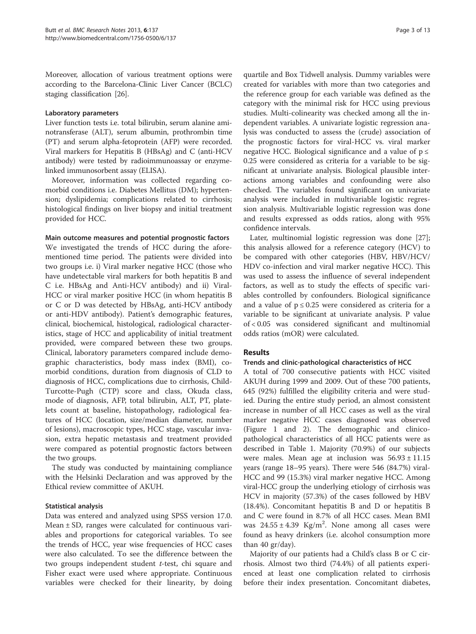Moreover, allocation of various treatment options were according to the Barcelona-Clinic Liver Cancer (BCLC) staging classification [\[26](#page-14-0)].

#### Laboratory parameters

Liver function tests i.e. total bilirubin, serum alanine aminotransferase (ALT), serum albumin, prothrombin time (PT) and serum alpha-fetoprotein (AFP) were recorded. Viral markers for Hepatitis B (HBsAg) and C (anti-HCV antibody) were tested by radioimmunoassay or enzymelinked immunosorbent assay (ELISA).

Moreover, information was collected regarding comorbid conditions i.e. Diabetes Mellitus (DM); hypertension; dyslipidemia; complications related to cirrhosis; histological findings on liver biopsy and initial treatment provided for HCC.

#### Main outcome measures and potential prognostic factors

We investigated the trends of HCC during the aforementioned time period. The patients were divided into two groups i.e. i) Viral marker negative HCC (those who have undetectable viral markers for both hepatitis B and C i.e. HBsAg and Anti-HCV antibody) and ii) Viral-HCC or viral marker positive HCC (in whom hepatitis B or C or D was detected by HBsAg, anti-HCV antibody or anti-HDV antibody). Patient's demographic features, clinical, biochemical, histological, radiological characteristics, stage of HCC and applicability of initial treatment provided, were compared between these two groups. Clinical, laboratory parameters compared include demographic characteristics, body mass index (BMI), comorbid conditions, duration from diagnosis of CLD to diagnosis of HCC, complications due to cirrhosis, Child-Turcotte-Pugh (CTP) score and class, Okuda class, mode of diagnosis, AFP, total bilirubin, ALT, PT, platelets count at baseline, histopathology, radiological features of HCC (location, size/median diameter, number of lesions), macroscopic types, HCC stage, vascular invasion, extra hepatic metastasis and treatment provided were compared as potential prognostic factors between the two groups.

The study was conducted by maintaining compliance with the Helsinki Declaration and was approved by the Ethical review committee of AKUH.

#### Statistical analysis

Data was entered and analyzed using SPSS version 17.0. Mean  $\pm$  SD, ranges were calculated for continuous variables and proportions for categorical variables. To see the trends of HCC, year wise frequencies of HCC cases were also calculated. To see the difference between the two groups independent student t-test, chi square and Fisher exact were used where appropriate. Continuous variables were checked for their linearity, by doing

quartile and Box Tidwell analysis. Dummy variables were created for variables with more than two categories and the reference group for each variable was defined as the category with the minimal risk for HCC using previous studies. Multi-colinearity was checked among all the independent variables. A univariate logistic regression analysis was conducted to assess the (crude) association of the prognostic factors for viral-HCC vs. viral marker negative HCC. Biological significance and a value of  $p \leq$ 0.25 were considered as criteria for a variable to be significant at univariate analysis. Biological plausible interactions among variables and confounding were also checked. The variables found significant on univariate analysis were included in multivariable logistic regression analysis. Multivariable logistic regression was done and results expressed as odds ratios, along with 95% confidence intervals.

Later, multinomial logistic regression was done [\[27](#page-14-0)]; this analysis allowed for a reference category (HCV) to be compared with other categories (HBV, HBV/HCV/ HDV co-infection and viral marker negative HCC). This was used to assess the influence of several independent factors, as well as to study the effects of specific variables controlled by confounders. Biological significance and a value of  $p \le 0.25$  were considered as criteria for a variable to be significant at univariate analysis. P value of < 0.05 was considered significant and multinomial odds ratios (mOR) were calculated.

#### Results

#### Trends and clinic-pathological characteristics of HCC

A total of 700 consecutive patients with HCC visited AKUH during 1999 and 2009. Out of these 700 patients, 645 (92%) fulfilled the eligibility criteria and were studied. During the entire study period, an almost consistent increase in number of all HCC cases as well as the viral marker negative HCC cases diagnosed was observed (Figure [1](#page-5-0) and [2](#page-5-0)). The demographic and clinicopathological characteristics of all HCC patients were as described in Table [1.](#page-6-0) Majority (70.9%) of our subjects were males. Mean age at inclusion was  $56.93 \pm 11.15$ years (range 18–95 years). There were 546 (84.7%) viral-HCC and 99 (15.3%) viral marker negative HCC. Among viral-HCC group the underlying etiology of cirrhosis was HCV in majority (57.3%) of the cases followed by HBV (18.4%). Concomitant hepatitis B and D or hepatitis B and C were found in 8.7% of all HCC cases. Mean BMI was  $24.55 \pm 4.39$  Kg/m<sup>2</sup>. None among all cases were found as heavy drinkers (i.e. alcohol consumption more than 40 gr/day).

Majority of our patients had a Child's class B or C cirrhosis. Almost two third (74.4%) of all patients experienced at least one complication related to cirrhosis before their index presentation. Concomitant diabetes,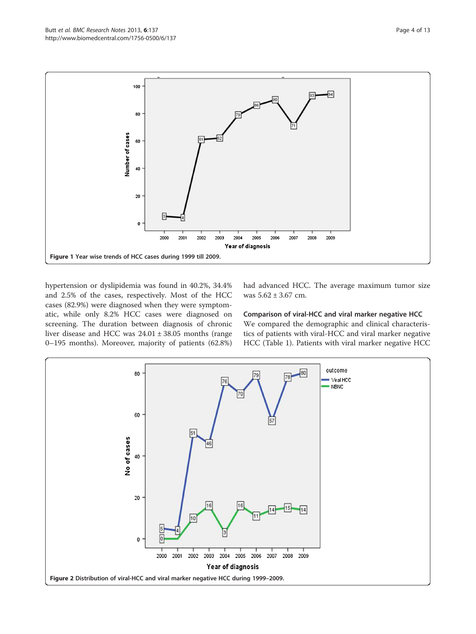<span id="page-5-0"></span>

hypertension or dyslipidemia was found in 40.2%, 34.4% and 2.5% of the cases, respectively. Most of the HCC cases (82.9%) were diagnosed when they were symptomatic, while only 8.2% HCC cases were diagnosed on screening. The duration between diagnosis of chronic liver disease and HCC was 24.01 ± 38.05 months (range 0–195 months). Moreover, majority of patients (62.8%) had advanced HCC. The average maximum tumor size was 5.62 ± 3.67 cm.

### Comparison of viral-HCC and viral marker negative HCC

We compared the demographic and clinical characteristics of patients with viral-HCC and viral marker negative HCC (Table [1](#page-6-0)). Patients with viral marker negative HCC

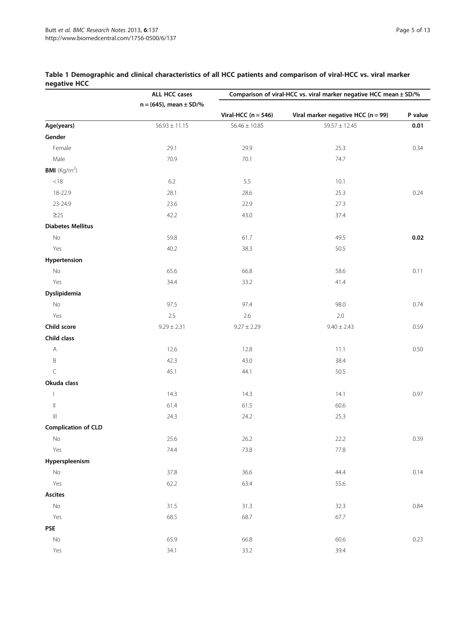| $n = (645)$ , mean $\pm$ SD/%<br>Viral-HCC ( $n = 546$ )<br>Viral marker negative HCC ( $n = 99$ )<br>P value<br>$56.93 \pm 11.15$<br>$56.46 \pm 10.85$<br>$59.57 \pm 12.45$<br>0.01<br>Age(years)<br>Gender<br>Female<br>29.1<br>29.9<br>25.3<br>0.34<br>Male<br>70.9<br>74.7<br>70.1<br><b>BMI</b> ( $Kg/m2$ )<br>$<18$<br>5.5<br>$6.2\,$<br>10.1<br>18-22.9<br>28.1<br>25.3<br>28.6<br>0.24<br>23-24.9<br>27.3<br>23.6<br>22.9<br>37.4<br>$\geq$ 25<br>42.2<br>43.0<br><b>Diabetes Mellitus</b><br>No<br>61.7<br>49.5<br>0.02<br>59.8<br>38.3<br>50.5<br>Yes<br>40.2<br>Hypertension<br>No<br>65.6<br>66.8<br>58.6<br>0.11<br>33.2<br>41.4<br>Yes<br>34.4<br>Dyslipidemia<br>97.5<br>97.4<br>98.0<br>0.74<br>$\rm No$<br>2.5<br>Yes<br>$2.6\,$<br>$2.0\,$<br>Child score<br>$9.29 \pm 2.31$<br>$9.27 \pm 2.29$<br>$9.40 \pm 2.43$<br>0.59<br>Child class<br>Α<br>12.6<br>12.8<br>11.1<br>0.50<br>B<br>42.3<br>43.0<br>38.4<br>$\subset$<br>45.1<br>50.5<br>44.1<br>Okuda class<br>0.97<br>14.3<br>14.3<br>14.1<br>$\vert\vert$<br>61.4<br>61.5<br>60.6<br>$\  \cdot \ $<br>25.3<br>24.3<br>24.2<br><b>Complication of CLD</b><br>No<br>25.6<br>26.2<br>22.2<br>0.39<br>74.4<br>$73.8\,$<br>$77.8\,$<br>Yes<br>Hyperspleenism<br>$\rm No$<br>37.8<br>36.6<br>44.4<br>0.14<br>Yes<br>62.2<br>63.4<br>55.6<br>Ascites<br>$\mathsf{No}$<br>31.5<br>31.3<br>32.3<br>0.84<br>Yes<br>68.5<br>68.7<br>67.7<br>$\ensuremath{\mathsf{PSE}}$<br>$\mathsf{No}$<br>0.23<br>65.9<br>66.8<br>60.6 |     | ALL HCC cases | Comparison of viral-HCC vs. viral marker negative HCC mean ± SD/% |      |  |  |  |
|---------------------------------------------------------------------------------------------------------------------------------------------------------------------------------------------------------------------------------------------------------------------------------------------------------------------------------------------------------------------------------------------------------------------------------------------------------------------------------------------------------------------------------------------------------------------------------------------------------------------------------------------------------------------------------------------------------------------------------------------------------------------------------------------------------------------------------------------------------------------------------------------------------------------------------------------------------------------------------------------------------------------------------------------------------------------------------------------------------------------------------------------------------------------------------------------------------------------------------------------------------------------------------------------------------------------------------------------------------------------------------------------------------------------------------------------------------------------------------------|-----|---------------|-------------------------------------------------------------------|------|--|--|--|
|                                                                                                                                                                                                                                                                                                                                                                                                                                                                                                                                                                                                                                                                                                                                                                                                                                                                                                                                                                                                                                                                                                                                                                                                                                                                                                                                                                                                                                                                                       |     |               |                                                                   |      |  |  |  |
|                                                                                                                                                                                                                                                                                                                                                                                                                                                                                                                                                                                                                                                                                                                                                                                                                                                                                                                                                                                                                                                                                                                                                                                                                                                                                                                                                                                                                                                                                       |     |               |                                                                   |      |  |  |  |
|                                                                                                                                                                                                                                                                                                                                                                                                                                                                                                                                                                                                                                                                                                                                                                                                                                                                                                                                                                                                                                                                                                                                                                                                                                                                                                                                                                                                                                                                                       |     |               |                                                                   |      |  |  |  |
|                                                                                                                                                                                                                                                                                                                                                                                                                                                                                                                                                                                                                                                                                                                                                                                                                                                                                                                                                                                                                                                                                                                                                                                                                                                                                                                                                                                                                                                                                       |     |               |                                                                   |      |  |  |  |
|                                                                                                                                                                                                                                                                                                                                                                                                                                                                                                                                                                                                                                                                                                                                                                                                                                                                                                                                                                                                                                                                                                                                                                                                                                                                                                                                                                                                                                                                                       |     |               |                                                                   |      |  |  |  |
|                                                                                                                                                                                                                                                                                                                                                                                                                                                                                                                                                                                                                                                                                                                                                                                                                                                                                                                                                                                                                                                                                                                                                                                                                                                                                                                                                                                                                                                                                       |     |               |                                                                   |      |  |  |  |
|                                                                                                                                                                                                                                                                                                                                                                                                                                                                                                                                                                                                                                                                                                                                                                                                                                                                                                                                                                                                                                                                                                                                                                                                                                                                                                                                                                                                                                                                                       |     |               |                                                                   |      |  |  |  |
|                                                                                                                                                                                                                                                                                                                                                                                                                                                                                                                                                                                                                                                                                                                                                                                                                                                                                                                                                                                                                                                                                                                                                                                                                                                                                                                                                                                                                                                                                       |     |               |                                                                   |      |  |  |  |
|                                                                                                                                                                                                                                                                                                                                                                                                                                                                                                                                                                                                                                                                                                                                                                                                                                                                                                                                                                                                                                                                                                                                                                                                                                                                                                                                                                                                                                                                                       |     |               |                                                                   |      |  |  |  |
|                                                                                                                                                                                                                                                                                                                                                                                                                                                                                                                                                                                                                                                                                                                                                                                                                                                                                                                                                                                                                                                                                                                                                                                                                                                                                                                                                                                                                                                                                       |     |               |                                                                   |      |  |  |  |
|                                                                                                                                                                                                                                                                                                                                                                                                                                                                                                                                                                                                                                                                                                                                                                                                                                                                                                                                                                                                                                                                                                                                                                                                                                                                                                                                                                                                                                                                                       |     |               |                                                                   |      |  |  |  |
|                                                                                                                                                                                                                                                                                                                                                                                                                                                                                                                                                                                                                                                                                                                                                                                                                                                                                                                                                                                                                                                                                                                                                                                                                                                                                                                                                                                                                                                                                       |     |               |                                                                   |      |  |  |  |
|                                                                                                                                                                                                                                                                                                                                                                                                                                                                                                                                                                                                                                                                                                                                                                                                                                                                                                                                                                                                                                                                                                                                                                                                                                                                                                                                                                                                                                                                                       |     |               |                                                                   |      |  |  |  |
|                                                                                                                                                                                                                                                                                                                                                                                                                                                                                                                                                                                                                                                                                                                                                                                                                                                                                                                                                                                                                                                                                                                                                                                                                                                                                                                                                                                                                                                                                       |     |               |                                                                   |      |  |  |  |
|                                                                                                                                                                                                                                                                                                                                                                                                                                                                                                                                                                                                                                                                                                                                                                                                                                                                                                                                                                                                                                                                                                                                                                                                                                                                                                                                                                                                                                                                                       |     |               |                                                                   |      |  |  |  |
|                                                                                                                                                                                                                                                                                                                                                                                                                                                                                                                                                                                                                                                                                                                                                                                                                                                                                                                                                                                                                                                                                                                                                                                                                                                                                                                                                                                                                                                                                       |     |               |                                                                   |      |  |  |  |
|                                                                                                                                                                                                                                                                                                                                                                                                                                                                                                                                                                                                                                                                                                                                                                                                                                                                                                                                                                                                                                                                                                                                                                                                                                                                                                                                                                                                                                                                                       |     |               |                                                                   |      |  |  |  |
|                                                                                                                                                                                                                                                                                                                                                                                                                                                                                                                                                                                                                                                                                                                                                                                                                                                                                                                                                                                                                                                                                                                                                                                                                                                                                                                                                                                                                                                                                       |     |               |                                                                   |      |  |  |  |
|                                                                                                                                                                                                                                                                                                                                                                                                                                                                                                                                                                                                                                                                                                                                                                                                                                                                                                                                                                                                                                                                                                                                                                                                                                                                                                                                                                                                                                                                                       |     |               |                                                                   |      |  |  |  |
|                                                                                                                                                                                                                                                                                                                                                                                                                                                                                                                                                                                                                                                                                                                                                                                                                                                                                                                                                                                                                                                                                                                                                                                                                                                                                                                                                                                                                                                                                       |     |               |                                                                   |      |  |  |  |
|                                                                                                                                                                                                                                                                                                                                                                                                                                                                                                                                                                                                                                                                                                                                                                                                                                                                                                                                                                                                                                                                                                                                                                                                                                                                                                                                                                                                                                                                                       |     |               |                                                                   |      |  |  |  |
|                                                                                                                                                                                                                                                                                                                                                                                                                                                                                                                                                                                                                                                                                                                                                                                                                                                                                                                                                                                                                                                                                                                                                                                                                                                                                                                                                                                                                                                                                       |     |               |                                                                   |      |  |  |  |
|                                                                                                                                                                                                                                                                                                                                                                                                                                                                                                                                                                                                                                                                                                                                                                                                                                                                                                                                                                                                                                                                                                                                                                                                                                                                                                                                                                                                                                                                                       |     |               |                                                                   |      |  |  |  |
|                                                                                                                                                                                                                                                                                                                                                                                                                                                                                                                                                                                                                                                                                                                                                                                                                                                                                                                                                                                                                                                                                                                                                                                                                                                                                                                                                                                                                                                                                       |     |               |                                                                   |      |  |  |  |
|                                                                                                                                                                                                                                                                                                                                                                                                                                                                                                                                                                                                                                                                                                                                                                                                                                                                                                                                                                                                                                                                                                                                                                                                                                                                                                                                                                                                                                                                                       |     |               |                                                                   |      |  |  |  |
|                                                                                                                                                                                                                                                                                                                                                                                                                                                                                                                                                                                                                                                                                                                                                                                                                                                                                                                                                                                                                                                                                                                                                                                                                                                                                                                                                                                                                                                                                       |     |               |                                                                   |      |  |  |  |
|                                                                                                                                                                                                                                                                                                                                                                                                                                                                                                                                                                                                                                                                                                                                                                                                                                                                                                                                                                                                                                                                                                                                                                                                                                                                                                                                                                                                                                                                                       |     |               |                                                                   |      |  |  |  |
|                                                                                                                                                                                                                                                                                                                                                                                                                                                                                                                                                                                                                                                                                                                                                                                                                                                                                                                                                                                                                                                                                                                                                                                                                                                                                                                                                                                                                                                                                       |     |               |                                                                   |      |  |  |  |
|                                                                                                                                                                                                                                                                                                                                                                                                                                                                                                                                                                                                                                                                                                                                                                                                                                                                                                                                                                                                                                                                                                                                                                                                                                                                                                                                                                                                                                                                                       |     |               |                                                                   |      |  |  |  |
|                                                                                                                                                                                                                                                                                                                                                                                                                                                                                                                                                                                                                                                                                                                                                                                                                                                                                                                                                                                                                                                                                                                                                                                                                                                                                                                                                                                                                                                                                       |     |               |                                                                   |      |  |  |  |
|                                                                                                                                                                                                                                                                                                                                                                                                                                                                                                                                                                                                                                                                                                                                                                                                                                                                                                                                                                                                                                                                                                                                                                                                                                                                                                                                                                                                                                                                                       |     |               |                                                                   |      |  |  |  |
|                                                                                                                                                                                                                                                                                                                                                                                                                                                                                                                                                                                                                                                                                                                                                                                                                                                                                                                                                                                                                                                                                                                                                                                                                                                                                                                                                                                                                                                                                       |     |               |                                                                   |      |  |  |  |
|                                                                                                                                                                                                                                                                                                                                                                                                                                                                                                                                                                                                                                                                                                                                                                                                                                                                                                                                                                                                                                                                                                                                                                                                                                                                                                                                                                                                                                                                                       |     |               |                                                                   |      |  |  |  |
|                                                                                                                                                                                                                                                                                                                                                                                                                                                                                                                                                                                                                                                                                                                                                                                                                                                                                                                                                                                                                                                                                                                                                                                                                                                                                                                                                                                                                                                                                       |     |               |                                                                   |      |  |  |  |
|                                                                                                                                                                                                                                                                                                                                                                                                                                                                                                                                                                                                                                                                                                                                                                                                                                                                                                                                                                                                                                                                                                                                                                                                                                                                                                                                                                                                                                                                                       |     |               |                                                                   |      |  |  |  |
|                                                                                                                                                                                                                                                                                                                                                                                                                                                                                                                                                                                                                                                                                                                                                                                                                                                                                                                                                                                                                                                                                                                                                                                                                                                                                                                                                                                                                                                                                       |     |               |                                                                   |      |  |  |  |
|                                                                                                                                                                                                                                                                                                                                                                                                                                                                                                                                                                                                                                                                                                                                                                                                                                                                                                                                                                                                                                                                                                                                                                                                                                                                                                                                                                                                                                                                                       |     |               |                                                                   |      |  |  |  |
|                                                                                                                                                                                                                                                                                                                                                                                                                                                                                                                                                                                                                                                                                                                                                                                                                                                                                                                                                                                                                                                                                                                                                                                                                                                                                                                                                                                                                                                                                       |     |               |                                                                   |      |  |  |  |
|                                                                                                                                                                                                                                                                                                                                                                                                                                                                                                                                                                                                                                                                                                                                                                                                                                                                                                                                                                                                                                                                                                                                                                                                                                                                                                                                                                                                                                                                                       |     |               |                                                                   |      |  |  |  |
|                                                                                                                                                                                                                                                                                                                                                                                                                                                                                                                                                                                                                                                                                                                                                                                                                                                                                                                                                                                                                                                                                                                                                                                                                                                                                                                                                                                                                                                                                       |     |               |                                                                   |      |  |  |  |
|                                                                                                                                                                                                                                                                                                                                                                                                                                                                                                                                                                                                                                                                                                                                                                                                                                                                                                                                                                                                                                                                                                                                                                                                                                                                                                                                                                                                                                                                                       | Yes | 34.1          | 33.2                                                              | 39.4 |  |  |  |

#### <span id="page-6-0"></span>Table 1 Demographic and clinical characteristics of all HCC patients and comparison of viral-HCC vs. viral marker negative HCC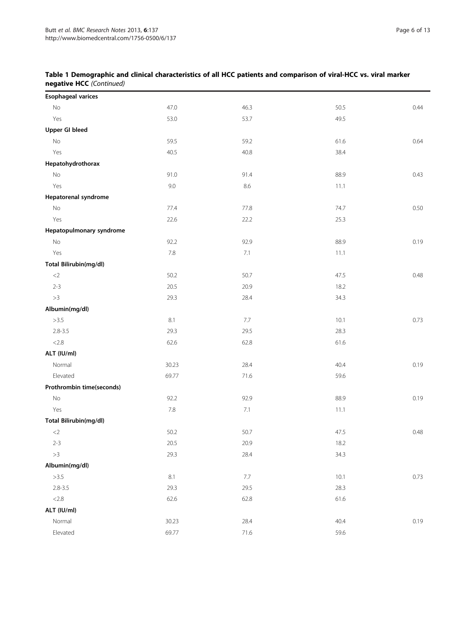#### Table 1 Demographic and clinical characteristics of all HCC patients and comparison of viral-HCC vs. viral marker negative HCC (Continued)

| <b>Esophageal varices</b> |         |          |      |      |
|---------------------------|---------|----------|------|------|
| No                        | 47.0    | 46.3     | 50.5 | 0.44 |
| Yes                       | 53.0    | 53.7     | 49.5 |      |
| <b>Upper GI bleed</b>     |         |          |      |      |
| No                        | 59.5    | 59.2     | 61.6 | 0.64 |
| Yes                       | 40.5    | 40.8     | 38.4 |      |
| Hepatohydrothorax         |         |          |      |      |
| No                        | 91.0    | 91.4     | 88.9 | 0.43 |
| Yes                       | 9.0     | 8.6      | 11.1 |      |
| Hepatorenal syndrome      |         |          |      |      |
| No                        | 77.4    | 77.8     | 74.7 | 0.50 |
| Yes                       | 22.6    | 22.2     | 25.3 |      |
| Hepatopulmonary syndrome  |         |          |      |      |
| No                        | 92.2    | 92.9     | 88.9 | 0.19 |
| Yes                       | 7.8     | 7.1      | 11.1 |      |
| Total Bilirubin(mg/dl)    |         |          |      |      |
| ${<}2$                    | 50.2    | 50.7     | 47.5 | 0.48 |
| $2 - 3$                   | 20.5    | 20.9     | 18.2 |      |
| $>\!3$                    | 29.3    | 28.4     | 34.3 |      |
| Albumin(mg/dl)            |         |          |      |      |
| >3.5                      | 8.1     | 7.7      | 10.1 | 0.73 |
| $2.8 - 3.5$               | 29.3    | 29.5     | 28.3 |      |
| < 2.8                     | 62.6    | 62.8     | 61.6 |      |
| ALT (IU/ml)               |         |          |      |      |
| Normal                    | 30.23   | 28.4     | 40.4 | 0.19 |
| Elevated                  | 69.77   | 71.6     | 59.6 |      |
| Prothrombin time(seconds) |         |          |      |      |
| No                        | 92.2    | 92.9     | 88.9 | 0.19 |
| Yes                       | $7.8\,$ | $7.1\,$  | 11.1 |      |
| Total Bilirubin(mg/dl)    |         |          |      |      |
| ${<}2$                    | 50.2    | 50.7     | 47.5 | 0.48 |
| $2 - 3$                   | 20.5    | 20.9     | 18.2 |      |
| $>\!\!3$                  | 29.3    | 28.4     | 34.3 |      |
| Albumin(mg/dl)            |         |          |      |      |
| >3.5                      | $8.1\,$ | $7.7\,$  | 10.1 | 0.73 |
| $2.8 - 3.5$               | 29.3    | 29.5     | 28.3 |      |
| < 2.8                     | 62.6    | 62.8     | 61.6 |      |
| ALT (IU/ml)               |         |          |      |      |
| Normal                    | 30.23   | 28.4     | 40.4 | 0.19 |
| Elevated                  | 69.77   | $71.6\,$ | 59.6 |      |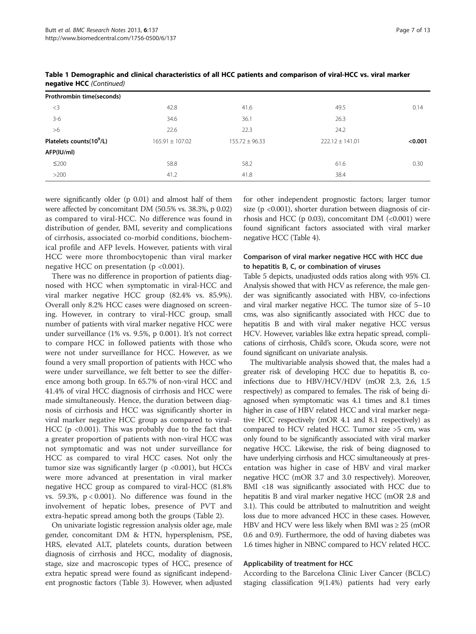| Prothrombin time(seconds)            |                     |                    |                     |         |
|--------------------------------------|---------------------|--------------------|---------------------|---------|
| $<$ 3                                | 42.8                | 41.6               | 49.5                | 0.14    |
| $3-6$                                | 34.6                | 36.1               | 26.3                |         |
| $>6$                                 | 22.6                | 22.3               | 24.2                |         |
| Platelets counts(10 <sup>9</sup> /L) | $165.91 \pm 107.02$ | $155.72 \pm 96.33$ | $222.12 \pm 141.01$ | < 0.001 |
| AFP(IU/ml)                           |                     |                    |                     |         |
| $≤200$                               | 58.8                | 58.2               | 61.6                | 0.30    |
| $>200$                               | 41.2                | 41.8               | 38.4                |         |

Table 1 Demographic and clinical characteristics of all HCC patients and comparison of viral-HCC vs. viral marker negative HCC (Continued)

were significantly older (p 0.01) and almost half of them were affected by concomitant DM (50.5% vs. 38.3%, p 0.02) as compared to viral-HCC. No difference was found in distribution of gender, BMI, severity and complications of cirrhosis, associated co-morbid conditions, biochemical profile and AFP levels. However, patients with viral HCC were more thrombocytopenic than viral marker negative HCC on presentation ( $p < 0.001$ ).

There was no difference in proportion of patients diagnosed with HCC when symptomatic in viral-HCC and viral marker negative HCC group (82.4% vs. 85.9%). Overall only 8.2% HCC cases were diagnosed on screening. However, in contrary to viral-HCC group, small number of patients with viral marker negative HCC were under surveillance (1% vs. 9.5%, p 0.001). It's not correct to compare HCC in followed patients with those who were not under surveillance for HCC. However, as we found a very small proportion of patients with HCC who were under surveillance, we felt better to see the difference among both group. In 65.7% of non-viral HCC and 41.4% of viral HCC diagnosis of cirrhosis and HCC were made simultaneously. Hence, the duration between diagnosis of cirrhosis and HCC was significantly shorter in viral marker negative HCC group as compared to viral-HCC ( $p < 0.001$ ). This was probably due to the fact that a greater proportion of patients with non-viral HCC was not symptomatic and was not under surveillance for HCC as compared to viral HCC cases. Not only the tumor size was significantly larger ( $p$  <0.001), but HCCs were more advanced at presentation in viral marker negative HCC group as compared to viral-HCC (81.8% vs. 59.3%,  $p < 0.001$ ). No difference was found in the involvement of hepatic lobes, presence of PVT and extra-hepatic spread among both the groups (Table [2\)](#page-9-0).

On univariate logistic regression analysis older age, male gender, concomitant DM & HTN, hypersplenism, PSE, HRS, elevated ALT, platelets counts, duration between diagnosis of cirrhosis and HCC, modality of diagnosis, stage, size and macroscopic types of HCC, presence of extra hepatic spread were found as significant independent prognostic factors (Table [3](#page-10-0)). However, when adjusted

for other independent prognostic factors; larger tumor size (p <0.001), shorter duration between diagnosis of cirrhosis and HCC (p 0.03), concomitant DM  $( $0.001$ ) were$ found significant factors associated with viral marker negative HCC (Table [4\)](#page-11-0).

### Comparison of viral marker negative HCC with HCC due to hepatitis B, C, or combination of viruses

Table [5](#page-12-0) depicts, unadjusted odds ratios along with 95% CI. Analysis showed that with HCV as reference, the male gender was significantly associated with HBV, co-infections and viral marker negative HCC. The tumor size of 5–10 cms, was also significantly associated with HCC due to hepatitis B and with viral maker negative HCC versus HCV. However, variables like extra hepatic spread, complications of cirrhosis, Child's score, Okuda score, were not found significant on univariate analysis.

The multivariable analysis showed that, the males had a greater risk of developing HCC due to hepatitis B, coinfections due to HBV/HCV/HDV (mOR 2.3, 2.6, 1.5 respectively) as compared to females. The risk of being diagnosed when symptomatic was 4.1 times and 8.1 times higher in case of HBV related HCC and viral marker negative HCC respectively (mOR 4.1 and 8.1 respectively) as compared to HCV related HCC. Tumor size >5 cm, was only found to be significantly associated with viral marker negative HCC. Likewise, the risk of being diagnosed to have underlying cirrhosis and HCC simultaneously at presentation was higher in case of HBV and viral marker negative HCC (mOR 3.7 and 3.0 respectively). Moreover, BMI <18 was significantly associated with HCC due to hepatitis B and viral marker negative HCC (mOR 2.8 and 3.1). This could be attributed to malnutrition and weight loss due to more advanced HCC in these cases. However, HBV and HCV were less likely when BMI was  $\geq$  25 (mOR 0.6 and 0.9). Furthermore, the odd of having diabetes was 1.6 times higher in NBNC compared to HCV related HCC.

#### Applicability of treatment for HCC

According to the Barcelona Clinic Liver Cancer (BCLC) staging classification 9(1.4%) patients had very early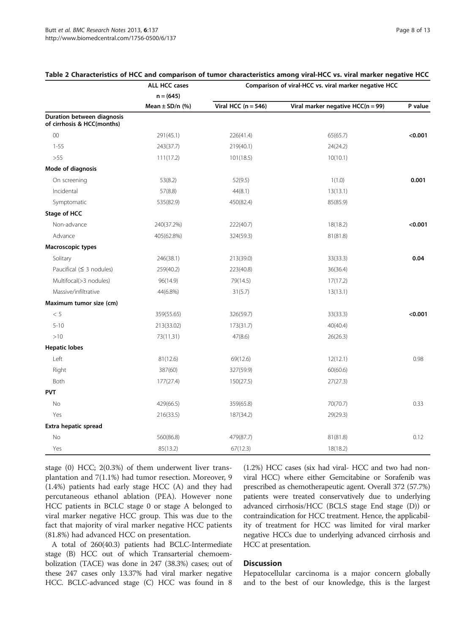|                                                          | <b>ALL HCC cases</b> | Comparison of viral-HCC vs. viral marker negative HCC |                                     |         |  |
|----------------------------------------------------------|----------------------|-------------------------------------------------------|-------------------------------------|---------|--|
|                                                          | $n = (645)$          |                                                       |                                     |         |  |
|                                                          | Mean $\pm$ SD/n (%)  | Viral HCC $(n = 546)$                                 | Viral marker negative $HCC(n = 99)$ | P value |  |
| Duration between diagnosis<br>of cirrhosis & HCC(months) |                      |                                                       |                                     |         |  |
| $00\,$                                                   | 291(45.1)            | 226(41.4)                                             | 65(65.7)                            | < 0.001 |  |
| $1 - 55$                                                 | 243(37.7)            | 219(40.1)                                             | 24(24.2)                            |         |  |
| >55                                                      | 111(17.2)            | 101(18.5)                                             | 10(10.1)                            |         |  |
| Mode of diagnosis                                        |                      |                                                       |                                     |         |  |
| On screening                                             | 53(8.2)              | 52(9.5)                                               | 1(1.0)                              | 0.001   |  |
| Incidental                                               | 57(8.8)              | 44(8.1)                                               | 13(13.1)                            |         |  |
| Symptomatic                                              | 535(82.9)            | 450(82.4)                                             | 85(85.9)                            |         |  |
| Stage of HCC                                             |                      |                                                       |                                     |         |  |
| Non-advance                                              | 240(37.2%)           | 222(40.7)                                             | 18(18.2)                            | < 0.001 |  |
| Advance                                                  | 405(62.8%)           | 324(59.3)                                             | 81(81.8)                            |         |  |
| Macroscopic types                                        |                      |                                                       |                                     |         |  |
| Solitary                                                 | 246(38.1)            | 213(39.0)                                             | 33(33.3)                            | 0.04    |  |
| Paucifical $( \leq 3$ nodules)                           | 259(40.2)            | 223(40.8)                                             | 36(36.4)                            |         |  |
| Multifocal(>3 nodules)                                   | 96(14.9)             | 79(14.5)                                              | 17(17.2)                            |         |  |
| Massive/infiltrative                                     | 44(6.8%)             | 31(5.7)                                               | 13(13.1)                            |         |  |
| Maximum tumor size (cm)                                  |                      |                                                       |                                     |         |  |
| < 5                                                      | 359(55.65)           | 326(59.7)                                             | 33(33.3)                            | < 0.001 |  |
| $5 - 10$                                                 | 213(33.02)           | 173(31.7)                                             | 40(40.4)                            |         |  |
| >10                                                      | 73(11.31)            | 47(8.6)                                               | 26(26.3)                            |         |  |
| <b>Hepatic lobes</b>                                     |                      |                                                       |                                     |         |  |
| Left                                                     | 81(12.6)             | 69(12.6)                                              | 12(12.1)                            | 0.98    |  |
| Right                                                    | 387(60)              | 327(59.9)                                             | 60(60.6)                            |         |  |
| Both                                                     | 177(27.4)            | 150(27.5)                                             | 27(27.3)                            |         |  |
| <b>PVT</b>                                               |                      |                                                       |                                     |         |  |
| No                                                       | 429(66.5)            | 359(65.8)                                             | 70(70.7)                            | 0.33    |  |
| Yes                                                      | 216(33.5)            | 187(34.2)                                             | 29(29.3)                            |         |  |
| Extra hepatic spread                                     |                      |                                                       |                                     |         |  |
| No                                                       | 560(86.8)            | 479(87.7)                                             | 81(81.8)                            | 0.12    |  |
| Yes                                                      | 85(13.2)             | 67(12.3)                                              | 18(18.2)                            |         |  |

#### <span id="page-9-0"></span>Table 2 Characteristics of HCC and comparison of tumor characteristics among viral-HCC vs. viral marker negative HCC

stage (0) HCC; 2(0.3%) of them underwent liver transplantation and 7(1.1%) had tumor resection. Moreover, 9 (1.4%) patients had early stage HCC (A) and they had percutaneous ethanol ablation (PEA). However none HCC patients in BCLC stage 0 or stage A belonged to viral marker negative HCC group. This was due to the fact that majority of viral marker negative HCC patients (81.8%) had advanced HCC on presentation.

A total of 260(40.3) patients had BCLC-Intermediate stage (B) HCC out of which Transarterial chemoembolization (TACE) was done in 247 (38.3%) cases; out of these 247 cases only 13.37% had viral marker negative HCC. BCLC-advanced stage (C) HCC was found in 8 (1.2%) HCC cases (six had viral- HCC and two had nonviral HCC) where either Gemcitabine or Sorafenib was prescribed as chemotherapeutic agent. Overall 372 (57.7%) patients were treated conservatively due to underlying advanced cirrhosis/HCC (BCLS stage End stage (D)) or contraindication for HCC treatment. Hence, the applicability of treatment for HCC was limited for viral marker negative HCCs due to underlying advanced cirrhosis and HCC at presentation.

#### **Discussion**

Hepatocellular carcinoma is a major concern globally and to the best of our knowledge, this is the largest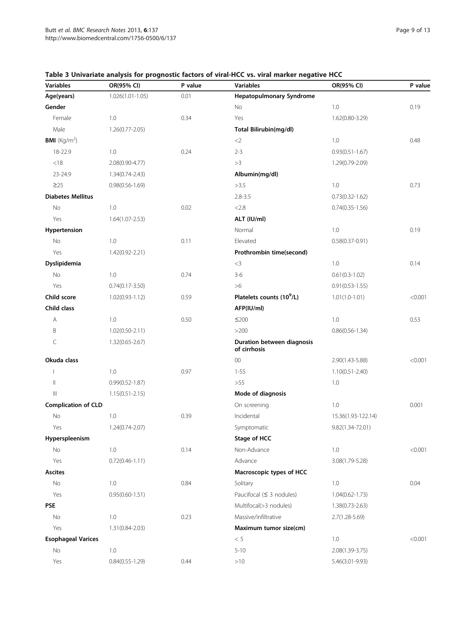## <span id="page-10-0"></span>Table 3 Univariate analysis for prognostic factors of viral-HCC vs. viral marker negative HCC

| Variables                  | OR(95% CI)          | P value | <b>Variables</b>                           | OR(95% CI)          | P value |
|----------------------------|---------------------|---------|--------------------------------------------|---------------------|---------|
| Age(years)                 | $1.026(1.01-1.05)$  | 0.01    | Hepatopulmonary Syndrome                   |                     |         |
| Gender                     |                     |         | No                                         | $1.0\,$             | 0.19    |
| Female                     | 1.0                 | 0.34    | Yes                                        | 1.62(0.80-3.29)     |         |
| Male                       | $1.26(0.77 - 2.05)$ |         | Total Bilirubin(mg/dl)                     |                     |         |
| <b>BMI</b> ( $Kg/m2$ )     |                     |         | $<$ 2                                      | 1.0                 | 0.48    |
| 18-22.9                    | 1.0                 | 0.24    | $2 - 3$                                    | $0.93(0.51 - 1.67)$ |         |
| < 18                       | 2.08(0.90-4.77)     |         | >3                                         | 1.29(0.79-2.09)     |         |
| 23-24.9                    | $1.34(0.74 - 2.43)$ |         | Albumin(mg/dl)                             |                     |         |
| $\geq$ 25                  | $0.98(0.56 - 1.69)$ |         | >3.5                                       | 1.0                 | 0.73    |
| <b>Diabetes Mellitus</b>   |                     |         | $2.8 - 3.5$                                | $0.73(0.32 - 1.62)$ |         |
| No                         | 1.0                 | 0.02    | < 2.8                                      | $0.74(0.35 - 1.56)$ |         |
| Yes                        | $1.64(1.07 - 2.53)$ |         | ALT (IU/ml)                                |                     |         |
| Hypertension               |                     |         | Normal                                     | 1.0                 | 0.19    |
| No                         | 1.0                 | 0.11    | Elevated                                   | $0.58(0.37 - 0.91)$ |         |
| Yes                        | 1.42(0.92-2.21)     |         | Prothrombin time(second)                   |                     |         |
| Dyslipidemia               |                     |         | $<$ 3                                      | 1.0                 | 0.14    |
| No                         | 1.0                 | 0.74    | $3-6$                                      | $0.61(0.3 - 1.02)$  |         |
| Yes                        | $0.74(0.17 - 3.50)$ |         | >6                                         | $0.91(0.53 - 1.55)$ |         |
| Child score                | $1.02(0.93 - 1.12)$ | 0.59    | Platelets counts (10 <sup>9</sup> /L)      | $1.01(1.0-1.01)$    | < 0.001 |
| <b>Child class</b>         |                     |         | AFP(IU/ml)                                 |                     |         |
| Α                          | 1.0                 | 0.50    | $≤200$                                     | 1.0                 | 0.53    |
| B                          | $1.02(0.50 - 2.11)$ |         | >200                                       | $0.86(0.56 - 1.34)$ |         |
| $\subset$                  | 1.32(0.65-2.67)     |         | Duration between diagnosis<br>of cirrhosis |                     |         |
| Okuda class                |                     |         | $00\,$                                     | 2.90(1.43-5.88)     | < 0.001 |
| T                          | 1.0                 | 0.97    | $1 - 55$                                   | $1.10(0.51 - 2.40)$ |         |
| $\vert\vert$               | $0.99(0.52 - 1.87)$ |         | >55                                        | 1.0                 |         |
| $\  \ $                    | $1.15(0.51 - 2.15)$ |         | Mode of diagnosis                          |                     |         |
| <b>Complication of CLD</b> |                     |         | On screening                               | 1.0                 | 0.001   |
| No                         | 1.0                 | 0.39    | Incidental                                 | 15.36(1.93-122.14)  |         |
| Yes                        | 1.24(0.74-2.07)     |         | Symptomatic                                | 9.82(1.34-72.01)    |         |
| Hyperspleenism             |                     |         | Stage of HCC                               |                     |         |
| No                         | 1.0                 | 0.14    | Non-Advance                                | 1.0                 | < 0.001 |
| Yes                        | $0.72(0.46 - 1.11)$ |         | Advance                                    | 3.08(1.79-5.28)     |         |
| <b>Ascites</b>             |                     |         | Macroscopic types of HCC                   |                     |         |
| No                         | 1.0                 | 0.84    | Solitary                                   | 1.0                 | 0.04    |
| Yes                        | $0.95(0.60 - 1.51)$ |         | Paucifocal $( \leq 3$ nodules)             | $1.04(0.62 - 1.73)$ |         |
| <b>PSE</b>                 |                     |         | Multifocal(>3 nodules)                     | $1.38(0.73 - 2.63)$ |         |
| No                         | 1.0                 | 0.23    | Massive/infiltrative                       | $2.7(1.28 - 5.69)$  |         |
| Yes                        | 1.31 (0.84-2.03)    |         | Maximum tumor size(cm)                     |                     |         |
| <b>Esophageal Varices</b>  |                     |         | $<\,5$                                     | 1.0                 | < 0.001 |
| No                         | 1.0                 |         | $5 - 10$                                   | 2.08(1.39-3.75)     |         |
| Yes                        | $0.84(0.55 - 1.29)$ | 0.44    | >10                                        | 5.46(3.01-9.93)     |         |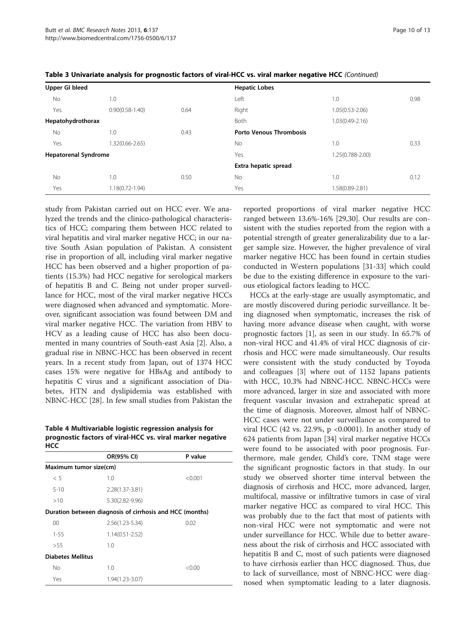| Upper GI bleed              |                     |      | <b>Hepatic Lobes</b>           |                     |      |
|-----------------------------|---------------------|------|--------------------------------|---------------------|------|
| <b>No</b>                   | 1.0                 |      | Left                           | 1.0                 | 0.98 |
| Yes                         | $0.90(0.58 - 1.40)$ | 0.64 | Right                          | $1.05(0.53 - 2.06)$ |      |
| Hepatohydrothorax           |                     |      | <b>Both</b>                    | $1.03(0.49 - 2.16)$ |      |
| <b>No</b>                   | 1.0                 | 0.43 | <b>Porto Venous Thrombosis</b> |                     |      |
| Yes                         | 1.32(0.66-2.65)     |      | <b>No</b>                      | 1.0                 | 0.33 |
| <b>Hepatorenal Syndrome</b> |                     |      | Yes                            | 1.25(0.788-2.00)    |      |
|                             |                     |      | Extra hepatic spread           |                     |      |
| <b>No</b>                   | 1.0                 | 0.50 | No.                            | 1.0                 | 0.12 |
| Yes                         | 1.18(0.72-1.94)     |      | Yes                            | 1.58(0.89-2.81)     |      |
|                             |                     |      |                                |                     |      |

<span id="page-11-0"></span>

|  |  | Table 3 Univariate analysis for prognostic factors of viral-HCC vs. viral marker negative HCC (Continued) |
|--|--|-----------------------------------------------------------------------------------------------------------|
|--|--|-----------------------------------------------------------------------------------------------------------|

study from Pakistan carried out on HCC ever. We analyzed the trends and the clinico-pathological characteristics of HCC; comparing them between HCC related to viral hepatitis and viral marker negative HCC; in our native South Asian population of Pakistan. A consistent rise in proportion of all, including viral marker negative HCC has been observed and a higher proportion of patients (15.3%) had HCC negative for serological markers of hepatitis B and C. Being not under proper surveillance for HCC, most of the viral marker negative HCCs were diagnosed when advanced and symptomatic. Moreover, significant association was found between DM and viral marker negative HCC. The variation from HBV to HCV as a leading cause of HCC has also been documented in many countries of South-east Asia [\[2](#page-13-0)]. Also, a gradual rise in NBNC-HCC has been observed in recent years. In a recent study from Japan, out of 1374 HCC cases 15% were negative for HBsAg and antibody to hepatitis C virus and a significant association of Diabetes, HTN and dyslipidemia was established with NBNC-HCC [[28\]](#page-14-0). In few small studies from Pakistan the

Table 4 Multivariable logistic regression analysis for prognostic factors of viral-HCC vs. viral marker negative  $HCC$ 

|                          | OR(95% CI)                                               | P value |
|--------------------------|----------------------------------------------------------|---------|
| Maximum tumor size(cm)   |                                                          |         |
| < 5                      | 1.0                                                      | < 0.001 |
| $5-10$                   | 2.28(1.37-3.81)                                          |         |
| >10                      | 5.30(2.82-9.96)                                          |         |
|                          | Duration between diagnosis of cirrhosis and HCC (months) |         |
| $00 \,$                  | $2.56(1.23 - 5.34)$                                      | 0.02    |
| $1 - 55$                 | $1.14(0.51 - 2.52)$                                      |         |
| > 55                     | 1.0                                                      |         |
| <b>Diabetes Mellitus</b> |                                                          |         |
| No                       | 1.0                                                      | < 0.00  |
| Yes                      | 1.94(1.23-3.07)                                          |         |

reported proportions of viral marker negative HCC ranged between 13.6%-16% [\[29,30](#page-14-0)]. Our results are consistent with the studies reported from the region with a potential strength of greater generalizability due to a larger sample size. However, the higher prevalence of viral marker negative HCC has been found in certain studies conducted in Western populations [\[31-33](#page-14-0)] which could be due to the existing difference in exposure to the various etiological factors leading to HCC.

HCCs at the early-stage are usually asymptomatic, and are mostly discovered during periodic surveillance. It being diagnosed when symptomatic, increases the risk of having more advance disease when caught, with worse prognostic factors [[1\]](#page-13-0), as seen in our study. In 65.7% of non-viral HCC and 41.4% of viral HCC diagnosis of cirrhosis and HCC were made simultaneously. Our results were consistent with the study conducted by Toyoda and colleagues [[3\]](#page-13-0) where out of 1152 Japans patients with HCC, 10.3% had NBNC-HCC. NBNC-HCCs were more advanced, larger in size and associated with more frequent vascular invasion and extrahepatic spread at the time of diagnosis. Moreover, almost half of NBNC-HCC cases were not under surveillance as compared to viral HCC (42 vs. 22.9%, p <0.0001). In another study of 624 patients from Japan [[34\]](#page-14-0) viral marker negative HCCs were found to be associated with poor prognosis. Furthermore, male gender, Child's core, TNM stage were the significant prognostic factors in that study. In our study we observed shorter time interval between the diagnosis of cirrhosis and HCC, more advanced, larger, multifocal, massive or infiltrative tumors in case of viral marker negative HCC as compared to viral HCC. This was probably due to the fact that most of patients with non-viral HCC were not symptomatic and were not under surveillance for HCC. While due to better awareness about the risk of cirrhosis and HCC associated with hepatitis B and C, most of such patients were diagnosed to have cirrhosis earlier than HCC diagnosed. Thus, due to lack of surveillance, most of NBNC-HCC were diagnosed when symptomatic leading to a later diagnosis.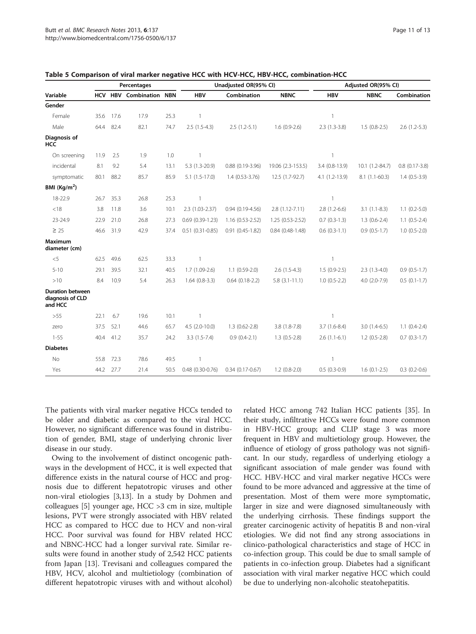|                                                        | Percentages |      |                        |            | Unadjusted OR(95% CI) |                        | Adjusted OR(95% CI)  |                |                 |                      |
|--------------------------------------------------------|-------------|------|------------------------|------------|-----------------------|------------------------|----------------------|----------------|-----------------|----------------------|
| Variable                                               | <b>HCV</b>  |      | <b>HBV</b> Combination | <b>NBN</b> | <b>HBV</b>            | Combination            | <b>NBNC</b>          | <b>HBV</b>     | <b>NBNC</b>     | Combination          |
| Gender                                                 |             |      |                        |            |                       |                        |                      |                |                 |                      |
| Female                                                 | 35.6        | 17.6 | 17.9                   | 25.3       | $\mathbf{1}$          |                        |                      | $\mathbf{1}$   |                 |                      |
| Male                                                   | 64.4        | 82.4 | 82.1                   | 74.7       | $2.5(1.5-4.3)$        | $2.5(1.2-5.1)$         | $1.6(0.9-2.6)$       | $2.3(1.3-3.8)$ | $1.5(0.8-2.5)$  | $2.6(1.2-5.3)$       |
| Diagnosis of<br><b>HCC</b>                             |             |      |                        |            |                       |                        |                      |                |                 |                      |
| On screening                                           | 11.9        | 2.5  | 1.9                    | 1.0        | $\overline{1}$        |                        |                      | $\mathbf{1}$   |                 |                      |
| incidental                                             | 8.1         | 9.2  | 5.4                    | 13.1       | 5.3 (1.3-20.9)        | $0.88$ $(0.19 - 3.96)$ | 19.06 (2.3-153.5)    | 3.4 (0.8-13.9) | 10.1 (1.2-84.7) | $0.8$ $(0.17 - 3.8)$ |
| symptomatic                                            | 80.1        | 88.2 | 85.7                   | 85.9       | $5.1(1.5-17.0)$       | 1.4 (0.53-3.76)        | 12.5 (1.7-92.7)      | 4.1 (1.2-13.9) | $8.1(1.1-60.3)$ | $1.4(0.5-3.9)$       |
| BMI $(Kg/m2)$                                          |             |      |                        |            |                       |                        |                      |                |                 |                      |
| 18-22.9                                                | 26.7        | 35.3 | 26.8                   | 25.3       | $\overline{1}$        |                        |                      | $\mathbf{1}$   |                 |                      |
| < 18                                                   | 3.8         | 11.8 | 3.6                    | 10.1       | 2.3 (1.03-2.37)       | $0.94(0.19 - 4.56)$    | $2.8(1.12 - 7.11)$   | $2.8(1.2-6.6)$ | $3.1(1.1-8.3)$  | $1.1(0.2-5.0)$       |
| 23-24.9                                                | 22.9        | 21.0 | 26.8                   | 27.3       | $0.69(0.39-1.23)$     | 1.16 (0.53-2.52)       | $1.25(0.53-2.52)$    | $0.7(0.3-1.3)$ | $1.3(0.6-2.4)$  | $1.1(0.5-2.4)$       |
| $\geq 25$                                              | 46.6        | 31.9 | 42.9                   | 37.4       | $0.51(0.31 - 0.85)$   | $0.91(0.45-1.82)$      | $0.84(0.48-1.48)$    | $0.6(0.3-1.1)$ | $0.9(0.5-1.7)$  | $1.0(0.5-2.0)$       |
| <b>Maximum</b><br>diameter (cm)                        |             |      |                        |            |                       |                        |                      |                |                 |                      |
| < 5                                                    | 62.5        | 49.6 | 62.5                   | 33.3       | $\overline{1}$        |                        |                      | $\mathbf{1}$   |                 |                      |
| $5 - 10$                                               | 29.1        | 39.5 | 32.1                   | 40.5       | $1.7(1.09-2.6)$       | $1.1(0.59-2.0)$        | $2.6(1.5-4.3)$       | $1.5(0.9-2.5)$ | $2.3(1.3-4.0)$  | $0.9(0.5-1.7)$       |
| >10                                                    | 8.4         | 10.9 | 5.4                    | 26.3       | $1.64(0.8-3.3)$       | $0.64(0.18-2.2)$       | $5.8$ $(3.1 - 11.1)$ | $1.0(0.5-2.2)$ | $4.0(2.0-7.9)$  | $0.5(0.1-1.7)$       |
| <b>Duration between</b><br>diagnosis of CLD<br>and HCC |             |      |                        |            |                       |                        |                      |                |                 |                      |
| >55                                                    | 22.1        | 6.7  | 19.6                   | 10.1       | $\overline{1}$        |                        |                      | $\mathbf{1}$   |                 |                      |
| zero                                                   | 37.5        | 52.1 | 44.6                   | 65.7       | $4.5(2.0-10.0)$       | $1.3(0.62 - 2.8)$      | $3.8(1.8-7.8)$       | $3.7(1.6-8.4)$ | $3.0(1.4-6.5)$  | $1.1(0.4-2.4)$       |
| $1 - 55$                                               | 40.4        | 41.2 | 35.7                   | 24.2       | $3.3(1.5-7.4)$        | $0.9(0.4-2.1)$         | $1.3(0.5-2.8)$       | $2.6(1.1-6.1)$ | $1.2(0.5-2.8)$  | $0.7$ $(0.3-1.7)$    |
| <b>Diabetes</b>                                        |             |      |                        |            |                       |                        |                      |                |                 |                      |
| No                                                     | 55.8        | 72.3 | 78.6                   | 49.5       | $\overline{1}$        |                        |                      | 1              |                 |                      |
| Yes                                                    | 44.2        | 27.7 | 21.4                   | 50.5       | $0.48$ (0.30-0.76)    | $0.34(0.17-0.67)$      | $1.2(0.8-2.0)$       | $0.5(0.3-0.9)$ | $1.6(0.1-2.5)$  | $0.3$ $(0.2 - 0.6)$  |

#### <span id="page-12-0"></span>Table 5 Comparison of viral marker negative HCC with HCV-HCC, HBV-HCC, combination-HCC

The patients with viral marker negative HCCs tended to be older and diabetic as compared to the viral HCC. However, no significant difference was found in distribution of gender, BMI, stage of underlying chronic liver disease in our study.

Owing to the involvement of distinct oncogenic pathways in the development of HCC, it is well expected that difference exists in the natural course of HCC and prognosis due to different hepatotropic viruses and other non-viral etiologies [[3,](#page-13-0)[13\]](#page-14-0). In a study by Dohmen and colleagues [[5\]](#page-13-0) younger age, HCC >3 cm in size, multiple lesions, PVT were strongly associated with HBV related HCC as compared to HCC due to HCV and non-viral HCC. Poor survival was found for HBV related HCC and NBNC-HCC had a longer survival rate. Similar results were found in another study of 2,542 HCC patients from Japan [\[13](#page-14-0)]. Trevisani and colleagues compared the HBV, HCV, alcohol and multietiology (combination of different hepatotropic viruses with and without alcohol)

related HCC among 742 Italian HCC patients [\[35\]](#page-14-0). In their study, infiltrative HCCs were found more common in HBV-HCC group; and CLIP stage 3 was more frequent in HBV and multietiology group. However, the influence of etiology of gross pathology was not significant. In our study, regardless of underlying etiology a significant association of male gender was found with HCC. HBV-HCC and viral marker negative HCCs were found to be more advanced and aggressive at the time of presentation. Most of them were more symptomatic, larger in size and were diagnosed simultaneously with the underlying cirrhosis. These findings support the greater carcinogenic activity of hepatitis B and non-viral etiologies. We did not find any strong associations in clinico-pathological characteristics and stage of HCC in co-infection group. This could be due to small sample of patients in co-infection group. Diabetes had a significant association with viral marker negative HCC which could be due to underlying non-alcoholic steatohepatitis.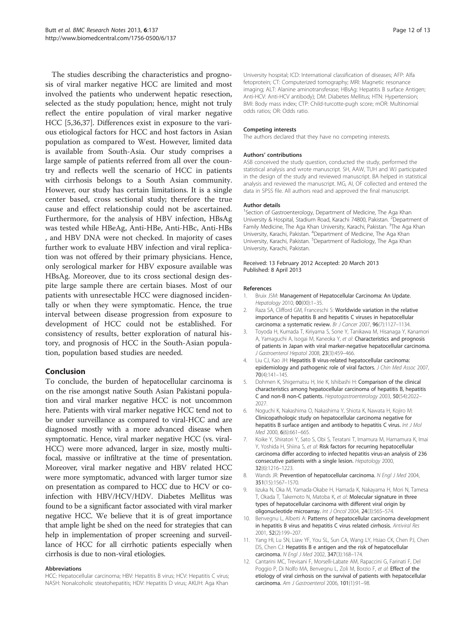<span id="page-13-0"></span>The studies describing the characteristics and prognosis of viral marker negative HCC are limited and most involved the patients who underwent hepatic resection, selected as the study population; hence, might not truly reflect the entire population of viral marker negative HCC [5[,36,37\]](#page-14-0). Differences exist in exposure to the various etiological factors for HCC and host factors in Asian population as compared to West. However, limited data is available from South-Asia. Our study comprises a large sample of patients referred from all over the country and reflects well the scenario of HCC in patients with cirrhosis belongs to a South Asian community. However, our study has certain limitations. It is a single center based, cross sectional study; therefore the true cause and effect relationship could not be ascertained. Furthermore, for the analysis of HBV infection, HBsAg was tested while HBeAg, Anti-HBe, Anti-HBc, Anti-HBs , and HBV DNA were not checked. In majority of cases further work to evaluate HBV infection and viral replication was not offered by their primary physicians. Hence, only serological marker for HBV exposure available was HBsAg. Moreover, due to its cross sectional design despite large sample there are certain biases. Most of our patients with unresectable HCC were diagnosed incidentally or when they were symptomatic. Hence, the true interval between disease progression from exposure to development of HCC could not be established. For consistency of results, better exploration of natural history, and prognosis of HCC in the South-Asian population, population based studies are needed.

#### Conclusion

To conclude, the burden of hepatocellular carcinoma is on the rise amongst native South Asian Pakistani population and viral marker negative HCC is not uncommon here. Patients with viral marker negative HCC tend not to be under surveillance as compared to viral-HCC and are diagnosed mostly with a more advanced disease when symptomatic. Hence, viral marker negative HCC (vs. viral-HCC) were more advanced, larger in size, mostly multifocal, massive or infiltrative at the time of presentation. Moreover, viral marker negative and HBV related HCC were more symptomatic, advanced with larger tumor size on presentation as compared to HCC due to HCV or coinfection with HBV/HCV/HDV. Diabetes Mellitus was found to be a significant factor associated with viral marker negative HCC. We believe that it is of great importance that ample light be shed on the need for strategies that can help in implementation of proper screening and surveillance of HCC for all cirrhotic patients especially when cirrhosis is due to non-viral etiologies.

#### Abbreviations

HCC: Hepatocellular carcinoma; HBV: Hepatitis B virus; HCV: Hepatitis C virus; NASH: Nonalcoholic steatohepatitis; HDV: Hepatitis D virus; AKUH: Aga Khan

University hospital; ICD: International classification of diseases; AFP: Alfa fetoprotein; CT: Computerized tomography; MRI: Magnetic resonance imaging; ALT: Alanine aminotransferase; HBsAg: Hepatitis B surface Antigen; Anti-HCV: Anti-HCV antibody); DM: Diabetes Mellitus; HTN: Hypertension; BMI: Body mass index; CTP: Child-turcotte-pugh score; mOR: Multinomial odds ratios; OR: Odds ratio.

#### Competing interests

The authors declared that they have no competing interests.

#### Authors' contributions

ASB conceived the study question, conducted the study, performed the statistical analysis and wrote manuscript. SH, AAW, TUH and WJ participated in the design of the study and reviewed manuscript. BA helped in statistical analysis and reviewed the manuscript. MG, AI, OF collected and entered the data in SPSS file. All authors read and approved the final manuscript.

#### Author details

<sup>1</sup>Section of Gastroenterology, Department of Medicine, The Aga Khan University & Hospital, Stadium Road, Karachi 74800, Pakistan. <sup>2</sup>Department of<br>Family Medicine, The Aga Khan University, Karachi, Pakistan. <sup>3</sup>The Aga Khan University, Karachi, Pakistan. <sup>4</sup>Department of Medicine, The Aga Khan University, Karachi, Pakistan. <sup>5</sup>Department of Radiology, The Aga Khan University, Karachi, Pakistan.

Received: 13 February 2012 Accepted: 20 March 2013 Published: 8 April 2013

#### References

- 1. Bruix JSM: Management of Hepatocellular Carcinoma: An Update. Hepatology 2010, 00(00):1–35.
- 2. Raza SA, Clifford GM, Franceschi S: Worldwide variation in the relative importance of hepatitis B and hepatitis C viruses in hepatocellular carcinoma: a systematic review. Br J Cancer 2007, 96(7):1127–1134.
- 3. Toyoda H, Kumada T, Kiriyama S, Sone Y, Tanikawa M, Hisanaga Y, Kanamori A, Yamaguchi A, Isogai M, Kaneoka Y, et al: Characteristics and prognosis of patients in Japan with viral marker-negative hepatocellular carcinoma. J Gastroenterol Hepatol 2008, 23(3):459–466.
- 4. Liu CJ, Kao JH: Hepatitis B virus-related hepatocellular carcinoma: epidemiology and pathogenic role of viral factors. J Chin Med Assoc 2007, 70(4):141–145.
- 5. Dohmen K, Shigematsu H, Irie K, Ishibashi H: Comparison of the clinical characteristics among hepatocellular carcinoma of hepatitis B, hepatitis C and non-B non-C patients. Hepatogastroenterology 2003, 50(54):2022– 2027.
- 6. Noguchi K, Nakashima O, Nakashima Y, Shiota K, Nawata H, Kojiro M: Clinicopathologic study on hepatocellular carcinoma negative for hepatitis B surface antigen and antibody to hepatitis C virus. Int J Mol Med 2000, 6(6):661–665.
- 7. Koike Y, Shiratori Y, Sato S, Obi S, Teratani T, Imamura M, Hamamura K, Imai Y, Yoshida H, Shiina S, *et al*: **Risk factors for recurring hepatocellular** carcinoma differ according to infected hepatitis virus-an analysis of 236 consecutive patients with a single lesion. Hepatology 2000, 32(6):1216–1223.
- 8. Wands JR: Prevention of hepatocellular carcinoma. N Engl J Med 2004, 351(15):1567–1570.
- 9. Iizuka N, Oka M, Yamada-Okabe H, Hamada K, Nakayama H, Mori N, Tamesa T, Okada T, Takemoto N, Matoba K, et al: Molecular signature in three types of hepatocellular carcinoma with different viral origin by oligonucleotide microarray. Int J Oncol 2004, 24(3):565–574.
- 10. Benvegnu L, Alberti A: Patterns of hepatocellular carcinoma development in hepatitis B virus and hepatitis C virus related cirrhosis. Antiviral Res 2001, 52(2):199–207.
- 11. Yang HI, Lu SN, Liaw YF, You SL, Sun CA, Wang LY, Hsiao CK, Chen PJ, Chen DS, Chen CJ: Hepatitis B e antigen and the risk of hepatocellular carcinoma. N Engl J Med 2002, 347(3):168–174.
- 12. Cantarini MC, Trevisani F, Morselli-Labate AM, Rapaccini G, Farinati F, Del Poggio P, Di Nolfo MA, Benvegnu L, Zoli M, Borzio F, et al: Effect of the etiology of viral cirrhosis on the survival of patients with hepatocellular carcinoma. Am J Gastroenterol 2006, 101(1):91–98.